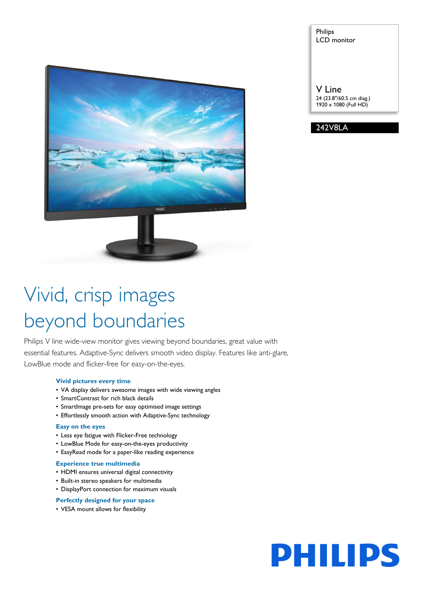

## Philips LCD monitor

V Line 24 (23.8"/60.5 cm diag.) 1920 x 1080 (Full HD)



# Vivid, crisp images beyond boundaries

Philips V line wide-view monitor gives viewing beyond boundaries, great value with essential features. Adaptive-Sync delivers smooth video display. Features like anti-glare, LowBlue mode and flicker-free for easy-on-the-eyes.

#### **Vivid pictures every time**

- VA display delivers awesome images with wide viewing angles
- SmartContrast for rich black details
- SmartImage pre-sets for easy optimised image settings
- Effortlessly smooth action with Adaptive-Sync technology

#### **Easy on the eyes**

- Less eye fatigue with Flicker-Free technology
- LowBlue Mode for easy-on-the-eyes productivity
- EasyRead mode for a paper-like reading experience

#### **Experience true multimedia**

- HDMI ensures universal digital connectivity
- Built-in stereo speakers for multimedia
- DisplayPort connection for maximum visuals

## **Perfectly designed for your space**

• VESA mount allows for flexibility

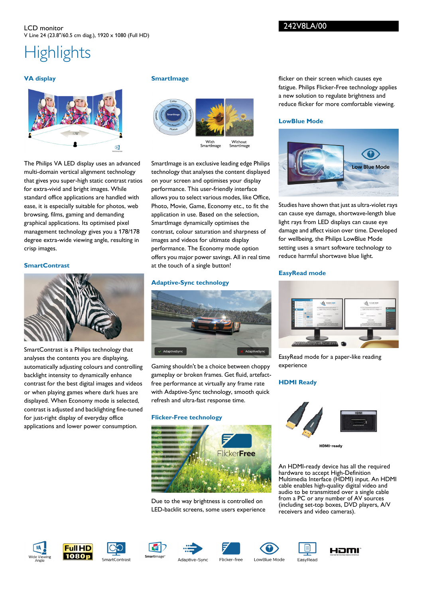## **Highlights**

## **VA display**



The Philips VA LED display uses an advanced multi-domain vertical alignment technology that gives you super-high static contrast ratios for extra-vivid and bright images. While standard office applications are handled with ease, it is especially suitable for photos, web browsing, films, gaming and demanding graphical applications. Its optimised pixel management technology gives you a 178/178 degree extra-wide viewing angle, resulting in crisp images.

## **SmartContrast**



SmartContrast is a Philips technology that analyses the contents you are displaying, automatically adjusting colours and controlling backlight intensity to dynamically enhance contrast for the best digital images and videos or when playing games where dark hues are displayed. When Economy mode is selected, contrast is adjusted and backlighting fine-tuned for just-right display of everyday office applications and lower power consumption.

## **SmartImage**



SmartImage is an exclusive leading edge Philips technology that analyses the content displayed on your screen and optimises your display performance. This user-friendly interface allows you to select various modes, like Office, Photo, Movie, Game, Economy etc., to fit the application in use. Based on the selection, SmartImage dynamically optimises the contrast, colour saturation and sharpness of images and videos for ultimate display performance. The Economy mode option offers you major power savings. All in real time at the touch of a single button!

## **Adaptive-Sync technology**



Gaming shouldn't be a choice between choppy gameplay or broken frames. Get fluid, artefactfree performance at virtually any frame rate with Adaptive-Sync technology, smooth quick refresh and ultra-fast response time.

#### **Flicker-Free technology**



Due to the way brightness is controlled on LED-backlit screens, some users experience flicker on their screen which causes eye fatigue. Philips Flicker-Free technology applies a new solution to regulate brightness and reduce flicker for more comfortable viewing.

## **LowBlue Mode**



Studies have shown that just as ultra-violet rays can cause eye damage, shortwave-length blue light rays from LED displays can cause eye damage and affect vision over time. Developed for wellbeing, the Philips LowBlue Mode setting uses a smart software technology to reduce harmful shortwave blue light.

## **EasyRead mode**



EasyRead mode for a paper-like reading experience

## **HDMI Ready**



HDMI-ready

An HDMI-ready device has all the required hardware to accept High-Definition Multimedia Interface (HDMI) input. An HDMI cable enables high-quality digital video and audio to be transmitted over a single cable from a PC or any number of AV sources (including set-top boxes, DVD players, A/V receivers and video cameras).

















Adaptive-Sync